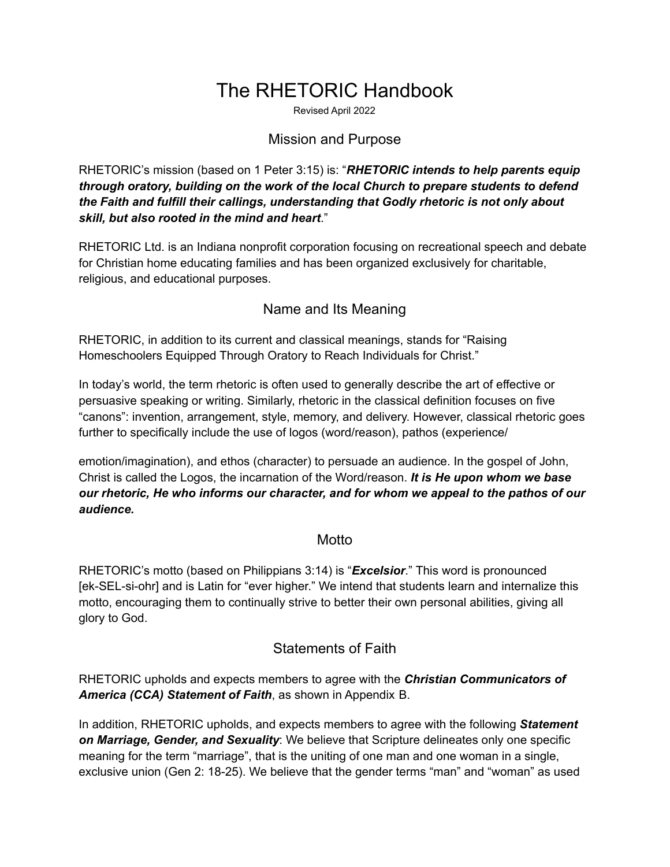# The RHETORIC Handbook

Revised April 2022

#### Mission and Purpose

RHETORIC's mission (based on 1 Peter 3:15) is: "*RHETORIC intends to help parents equip through oratory, building on the work of the local Church to prepare students to defend the Faith and fulfill their callings, understanding that Godly rhetoric is not only about skill, but also rooted in the mind and heart*."

RHETORIC Ltd. is an Indiana nonprofit corporation focusing on recreational speech and debate for Christian home educating families and has been organized exclusively for charitable, religious, and educational purposes.

#### Name and Its Meaning

RHETORIC, in addition to its current and classical meanings, stands for "Raising Homeschoolers Equipped Through Oratory to Reach Individuals for Christ."

In today's world, the term rhetoric is often used to generally describe the art of effective or persuasive speaking or writing. Similarly, rhetoric in the classical definition focuses on five "canons": invention, arrangement, style, memory, and delivery. However, classical rhetoric goes further to specifically include the use of logos (word/reason), pathos (experience/

emotion/imagination), and ethos (character) to persuade an audience. In the gospel of John, Christ is called the Logos, the incarnation of the Word/reason. *It is He upon whom we base our rhetoric, He who informs our character, and for whom we appeal to the pathos of our audience.*

#### **Motto**

RHETORIC's motto (based on Philippians 3:14) is "*Excelsior*." This word is pronounced [ek-SEL-si-ohr] and is Latin for "ever higher." We intend that students learn and internalize this motto, encouraging them to continually strive to better their own personal abilities, giving all glory to God.

#### Statements of Faith

RHETORIC upholds and expects members to agree with the *Christian Communicators of America (CCA) Statement of Faith*, as shown in Appendix B.

In addition, RHETORIC upholds, and expects members to agree with the following *Statement on Marriage, Gender, and Sexuality*: We believe that Scripture delineates only one specific meaning for the term "marriage", that is the uniting of one man and one woman in a single, exclusive union (Gen 2: 18-25). We believe that the gender terms "man" and "woman" as used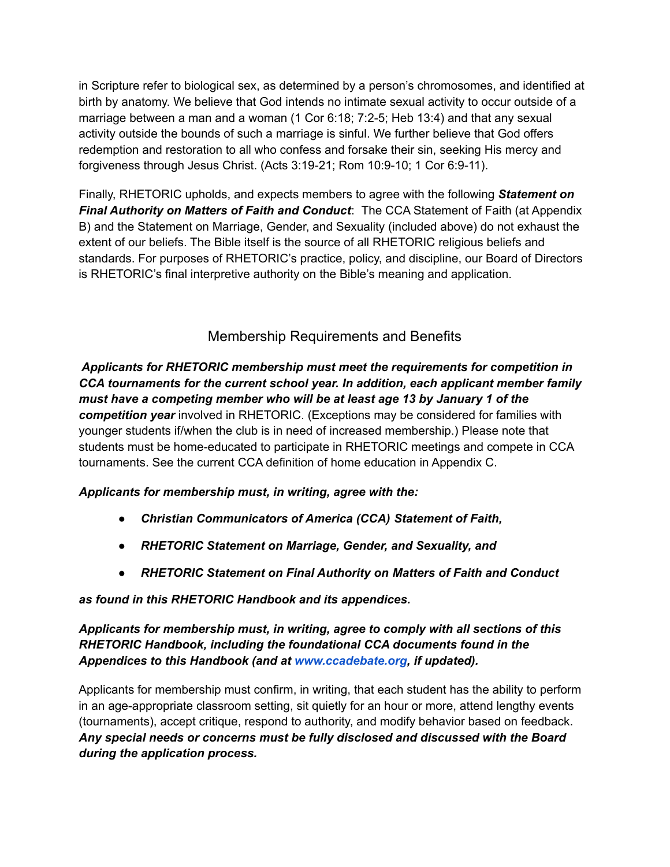in Scripture refer to biological sex, as determined by a person's chromosomes, and identified at birth by anatomy. We believe that God intends no intimate sexual activity to occur outside of a marriage between a man and a woman (1 Cor 6:18; 7:2-5; Heb 13:4) and that any sexual activity outside the bounds of such a marriage is sinful. We further believe that God offers redemption and restoration to all who confess and forsake their sin, seeking His mercy and forgiveness through Jesus Christ. (Acts 3:19-21; Rom 10:9-10; 1 Cor 6:9-11).

Finally, RHETORIC upholds, and expects members to agree with the following *Statement on Final Authority on Matters of Faith and Conduct*: The CCA Statement of Faith (at Appendix B) and the Statement on Marriage, Gender, and Sexuality (included above) do not exhaust the extent of our beliefs. The Bible itself is the source of all RHETORIC religious beliefs and standards. For purposes of RHETORIC's practice, policy, and discipline, our Board of Directors is RHETORIC's final interpretive authority on the Bible's meaning and application.

### Membership Requirements and Benefits

*Applicants for RHETORIC membership must meet the requirements for competition in CCA tournaments for the current school year. In addition, each applicant member family must have a competing member who will be at least age 13 by January 1 of the competition year* involved in RHETORIC. (Exceptions may be considered for families with younger students if/when the club is in need of increased membership.) Please note that students must be home-educated to participate in RHETORIC meetings and compete in CCA tournaments. See the current CCA definition of home education in Appendix C.

#### *Applicants for membership must, in writing, agree with the:*

- *Christian Communicators of America (CCA) Statement of Faith,*
- *RHETORIC Statement on Marriage, Gender, and Sexuality, and*
- *RHETORIC Statement on Final Authority on Matters of Faith and Conduct*

#### *as found in this RHETORIC Handbook and its appendices.*

#### *Applicants for membership must, in writing, agree to comply with all sections of this RHETORIC Handbook, including the foundational CCA documents found in the Appendices to this Handbook (and at [www.ccadebate.org](http://www.ccadebate.org/), if updated).*

Applicants for membership must confirm, in writing, that each student has the ability to perform in an age-appropriate classroom setting, sit quietly for an hour or more, attend lengthy events (tournaments), accept critique, respond to authority, and modify behavior based on feedback. *Any special needs or concerns must be fully disclosed and discussed with the Board during the application process.*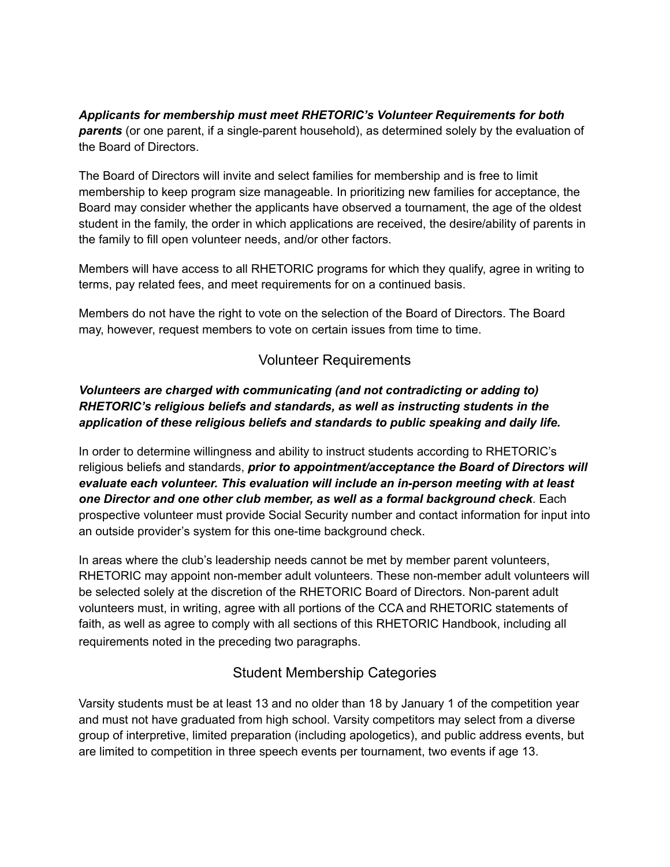*Applicants for membership must meet RHETORIC's Volunteer Requirements for both parents* (or one parent, if a single-parent household), as determined solely by the evaluation of the Board of Directors.

The Board of Directors will invite and select families for membership and is free to limit membership to keep program size manageable. In prioritizing new families for acceptance, the Board may consider whether the applicants have observed a tournament, the age of the oldest student in the family, the order in which applications are received, the desire/ability of parents in the family to fill open volunteer needs, and/or other factors.

Members will have access to all RHETORIC programs for which they qualify, agree in writing to terms, pay related fees, and meet requirements for on a continued basis.

Members do not have the right to vote on the selection of the Board of Directors. The Board may, however, request members to vote on certain issues from time to time.

### Volunteer Requirements

#### *Volunteers are charged with communicating (and not contradicting or adding to) RHETORIC's religious beliefs and standards, as well as instructing students in the application of these religious beliefs and standards to public speaking and daily life.*

In order to determine willingness and ability to instruct students according to RHETORIC's religious beliefs and standards, *prior to appointment/acceptance the Board of Directors will evaluate each volunteer. This evaluation will include an in-person meeting with at least one Director and one other club member, as well as a formal background check*. Each prospective volunteer must provide Social Security number and contact information for input into an outside provider's system for this one-time background check.

In areas where the club's leadership needs cannot be met by member parent volunteers, RHETORIC may appoint non-member adult volunteers. These non-member adult volunteers will be selected solely at the discretion of the RHETORIC Board of Directors. Non-parent adult volunteers must, in writing, agree with all portions of the CCA and RHETORIC statements of faith, as well as agree to comply with all sections of this RHETORIC Handbook, including all requirements noted in the preceding two paragraphs.

### Student Membership Categories

Varsity students must be at least 13 and no older than 18 by January 1 of the competition year and must not have graduated from high school. Varsity competitors may select from a diverse group of interpretive, limited preparation (including apologetics), and public address events, but are limited to competition in three speech events per tournament, two events if age 13.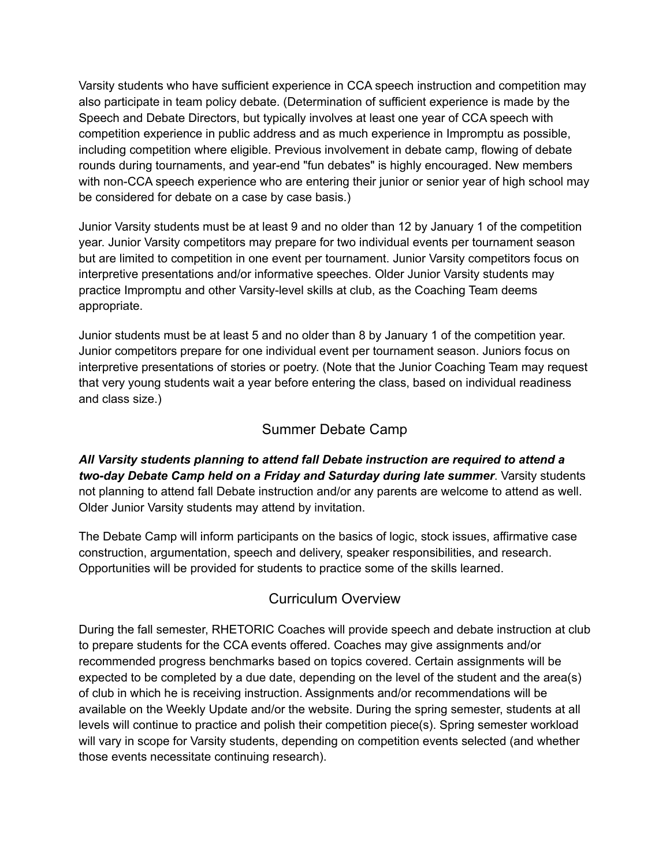Varsity students who have sufficient experience in CCA speech instruction and competition may also participate in team policy debate. (Determination of sufficient experience is made by the Speech and Debate Directors, but typically involves at least one year of CCA speech with competition experience in public address and as much experience in Impromptu as possible, including competition where eligible. Previous involvement in debate camp, flowing of debate rounds during tournaments, and year-end "fun debates" is highly encouraged. New members with non-CCA speech experience who are entering their junior or senior year of high school may be considered for debate on a case by case basis.)

Junior Varsity students must be at least 9 and no older than 12 by January 1 of the competition year. Junior Varsity competitors may prepare for two individual events per tournament season but are limited to competition in one event per tournament. Junior Varsity competitors focus on interpretive presentations and/or informative speeches. Older Junior Varsity students may practice Impromptu and other Varsity-level skills at club, as the Coaching Team deems appropriate.

Junior students must be at least 5 and no older than 8 by January 1 of the competition year. Junior competitors prepare for one individual event per tournament season. Juniors focus on interpretive presentations of stories or poetry. (Note that the Junior Coaching Team may request that very young students wait a year before entering the class, based on individual readiness and class size.)

### Summer Debate Camp

*All Varsity students planning to attend fall Debate instruction are required to attend a two-day Debate Camp held on a Friday and Saturday during late summer*. Varsity students not planning to attend fall Debate instruction and/or any parents are welcome to attend as well. Older Junior Varsity students may attend by invitation.

The Debate Camp will inform participants on the basics of logic, stock issues, affirmative case construction, argumentation, speech and delivery, speaker responsibilities, and research. Opportunities will be provided for students to practice some of the skills learned.

### Curriculum Overview

During the fall semester, RHETORIC Coaches will provide speech and debate instruction at club to prepare students for the CCA events offered. Coaches may give assignments and/or recommended progress benchmarks based on topics covered. Certain assignments will be expected to be completed by a due date, depending on the level of the student and the area(s) of club in which he is receiving instruction. Assignments and/or recommendations will be available on the Weekly Update and/or the website. During the spring semester, students at all levels will continue to practice and polish their competition piece(s). Spring semester workload will vary in scope for Varsity students, depending on competition events selected (and whether those events necessitate continuing research).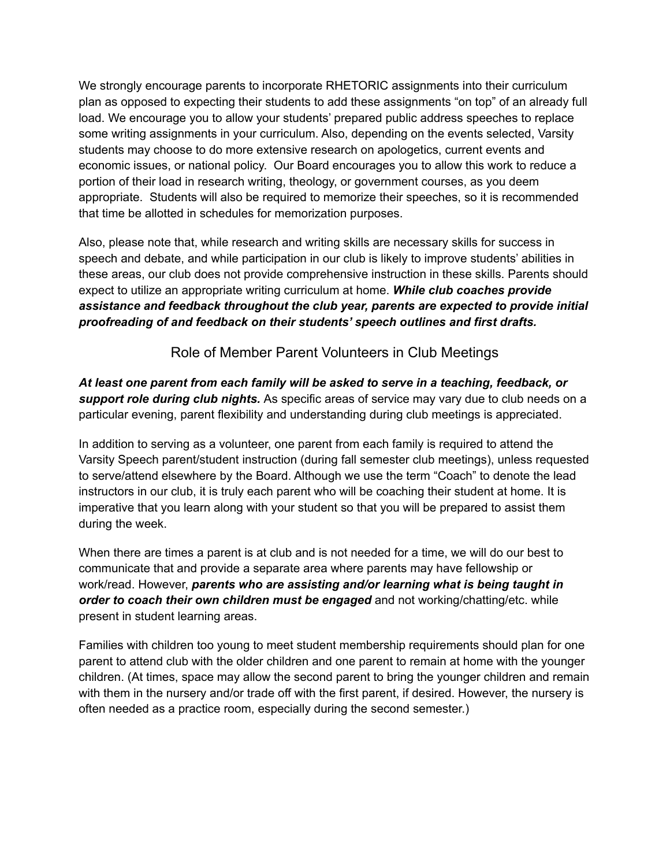We strongly encourage parents to incorporate RHETORIC assignments into their curriculum plan as opposed to expecting their students to add these assignments "on top" of an already full load. We encourage you to allow your students' prepared public address speeches to replace some writing assignments in your curriculum. Also, depending on the events selected, Varsity students may choose to do more extensive research on apologetics, current events and economic issues, or national policy. Our Board encourages you to allow this work to reduce a portion of their load in research writing, theology, or government courses, as you deem appropriate. Students will also be required to memorize their speeches, so it is recommended that time be allotted in schedules for memorization purposes.

Also, please note that, while research and writing skills are necessary skills for success in speech and debate, and while participation in our club is likely to improve students' abilities in these areas, our club does not provide comprehensive instruction in these skills. Parents should expect to utilize an appropriate writing curriculum at home. *While club coaches provide assistance and feedback throughout the club year, parents are expected to provide initial proofreading of and feedback on their students' speech outlines and first drafts.*

Role of Member Parent Volunteers in Club Meetings

*At least one parent from each family will be asked to serve in a teaching, feedback, or support role during club nights.* As specific areas of service may vary due to club needs on a particular evening, parent flexibility and understanding during club meetings is appreciated.

In addition to serving as a volunteer, one parent from each family is required to attend the Varsity Speech parent/student instruction (during fall semester club meetings), unless requested to serve/attend elsewhere by the Board. Although we use the term "Coach" to denote the lead instructors in our club, it is truly each parent who will be coaching their student at home. It is imperative that you learn along with your student so that you will be prepared to assist them during the week.

When there are times a parent is at club and is not needed for a time, we will do our best to communicate that and provide a separate area where parents may have fellowship or work/read. However, *parents who are assisting and/or learning what is being taught in order to coach their own children must be engaged* and not working/chatting/etc. while present in student learning areas.

Families with children too young to meet student membership requirements should plan for one parent to attend club with the older children and one parent to remain at home with the younger children. (At times, space may allow the second parent to bring the younger children and remain with them in the nursery and/or trade off with the first parent, if desired. However, the nursery is often needed as a practice room, especially during the second semester.)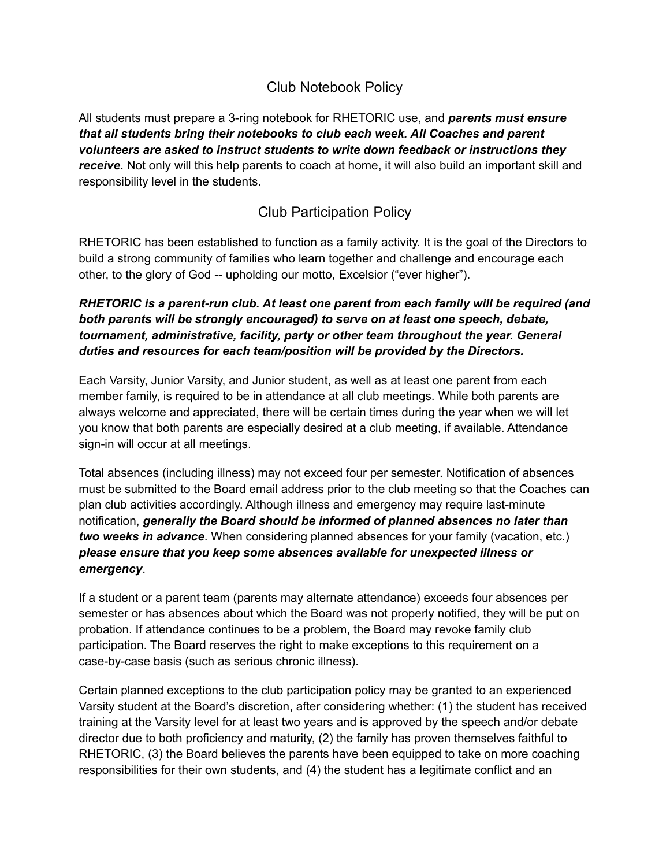### Club Notebook Policy

All students must prepare a 3-ring notebook for RHETORIC use, and *parents must ensure that all students bring their notebooks to club each week. All Coaches and parent volunteers are asked to instruct students to write down feedback or instructions they receive.* Not only will this help parents to coach at home, it will also build an important skill and responsibility level in the students.

### Club Participation Policy

RHETORIC has been established to function as a family activity. It is the goal of the Directors to build a strong community of families who learn together and challenge and encourage each other, to the glory of God -- upholding our motto, Excelsior ("ever higher").

#### *RHETORIC is a parent-run club. At least one parent from each family will be required (and both parents will be strongly encouraged) to serve on at least one speech, debate, tournament, administrative, facility, party or other team throughout the year. General duties and resources for each team/position will be provided by the Directors.*

Each Varsity, Junior Varsity, and Junior student, as well as at least one parent from each member family, is required to be in attendance at all club meetings. While both parents are always welcome and appreciated, there will be certain times during the year when we will let you know that both parents are especially desired at a club meeting, if available. Attendance sign-in will occur at all meetings.

Total absences (including illness) may not exceed four per semester. Notification of absences must be submitted to the Board email address prior to the club meeting so that the Coaches can plan club activities accordingly. Although illness and emergency may require last-minute notification, *generally the Board should be informed of planned absences no later than two weeks in advance*. When considering planned absences for your family (vacation, etc.) *please ensure that you keep some absences available for unexpected illness or emergency*.

If a student or a parent team (parents may alternate attendance) exceeds four absences per semester or has absences about which the Board was not properly notified, they will be put on probation. If attendance continues to be a problem, the Board may revoke family club participation. The Board reserves the right to make exceptions to this requirement on a case-by-case basis (such as serious chronic illness).

Certain planned exceptions to the club participation policy may be granted to an experienced Varsity student at the Board's discretion, after considering whether: (1) the student has received training at the Varsity level for at least two years and is approved by the speech and/or debate director due to both proficiency and maturity, (2) the family has proven themselves faithful to RHETORIC, (3) the Board believes the parents have been equipped to take on more coaching responsibilities for their own students, and (4) the student has a legitimate conflict and an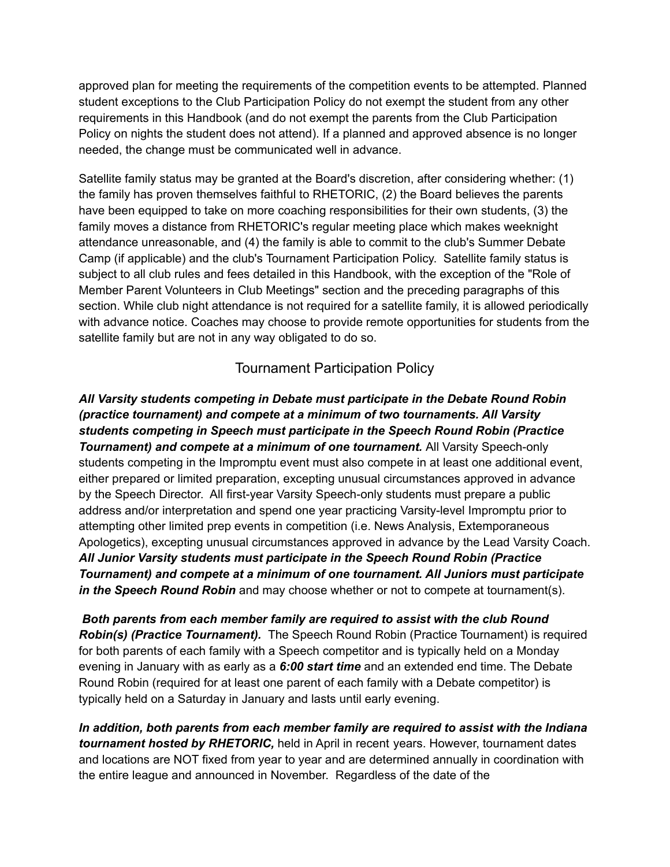approved plan for meeting the requirements of the competition events to be attempted. Planned student exceptions to the Club Participation Policy do not exempt the student from any other requirements in this Handbook (and do not exempt the parents from the Club Participation Policy on nights the student does not attend). If a planned and approved absence is no longer needed, the change must be communicated well in advance.

Satellite family status may be granted at the Board's discretion, after considering whether: (1) the family has proven themselves faithful to RHETORIC, (2) the Board believes the parents have been equipped to take on more coaching responsibilities for their own students, (3) the family moves a distance from RHETORIC's regular meeting place which makes weeknight attendance unreasonable, and (4) the family is able to commit to the club's Summer Debate Camp (if applicable) and the club's Tournament Participation Policy. Satellite family status is subject to all club rules and fees detailed in this Handbook, with the exception of the "Role of Member Parent Volunteers in Club Meetings" section and the preceding paragraphs of this section. While club night attendance is not required for a satellite family, it is allowed periodically with advance notice. Coaches may choose to provide remote opportunities for students from the satellite family but are not in any way obligated to do so.

#### Tournament Participation Policy

*All Varsity students competing in Debate must participate in the Debate Round Robin (practice tournament) and compete at a minimum of two tournaments. All Varsity students competing in Speech must participate in the Speech Round Robin (Practice Tournament) and compete at a minimum of one tournament.* All Varsity Speech-only students competing in the Impromptu event must also compete in at least one additional event, either prepared or limited preparation, excepting unusual circumstances approved in advance by the Speech Director. All first-year Varsity Speech-only students must prepare a public address and/or interpretation and spend one year practicing Varsity-level Impromptu prior to attempting other limited prep events in competition (i.e. News Analysis, Extemporaneous Apologetics), excepting unusual circumstances approved in advance by the Lead Varsity Coach. *All Junior Varsity students must participate in the Speech Round Robin (Practice Tournament) and compete at a minimum of one tournament. All Juniors must participate in the Speech Round Robin* and may choose whether or not to compete at tournament(s).

*Both parents from each member family are required to assist with the club Round Robin(s) (Practice Tournament).* The Speech Round Robin (Practice Tournament) is required for both parents of each family with a Speech competitor and is typically held on a Monday evening in January with as early as a *6:00 start time* and an extended end time. The Debate Round Robin (required for at least one parent of each family with a Debate competitor) is typically held on a Saturday in January and lasts until early evening.

*In addition, both parents from each member family are required to assist with the Indiana tournament hosted by RHETORIC,* held in April in recent years. However, tournament dates and locations are NOT fixed from year to year and are determined annually in coordination with the entire league and announced in November. Regardless of the date of the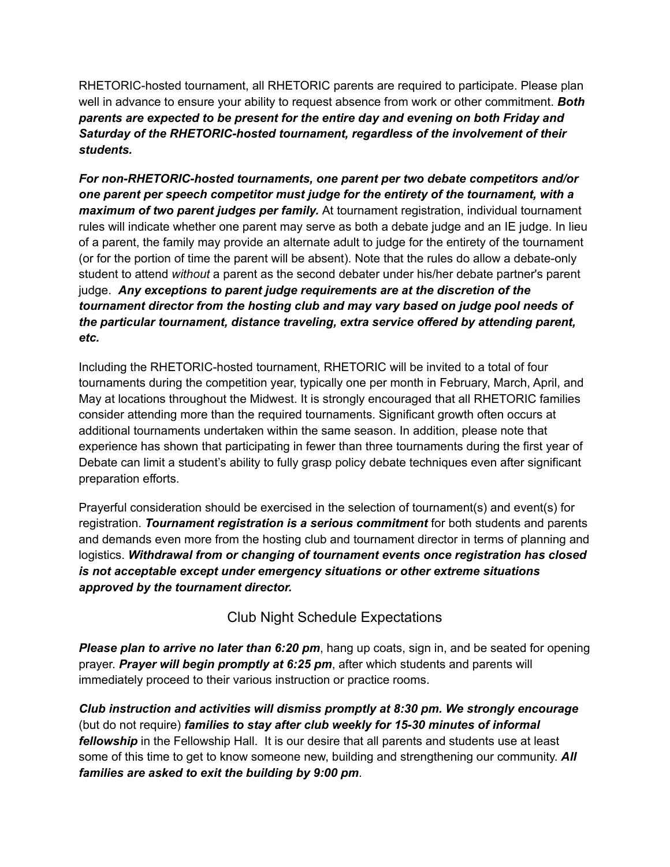RHETORIC-hosted tournament, all RHETORIC parents are required to participate. Please plan well in advance to ensure your ability to request absence from work or other commitment. *Both parents are expected to be present for the entire day and evening on both Friday and Saturday of the RHETORIC-hosted tournament, regardless of the involvement of their students.*

*For non-RHETORIC-hosted tournaments, one parent per two debate competitors and/or one parent per speech competitor must judge for the entirety of the tournament, with a maximum of two parent judges per family.* At tournament registration, individual tournament rules will indicate whether one parent may serve as both a debate judge and an IE judge. In lieu of a parent, the family may provide an alternate adult to judge for the entirety of the tournament (or for the portion of time the parent will be absent). Note that the rules do allow a debate-only student to attend *without* a parent as the second debater under his/her debate partner's parent judge. *Any exceptions to parent judge requirements are at the discretion of the tournament director from the hosting club and may vary based on judge pool needs of the particular tournament, distance traveling, extra service offered by attending parent, etc.*

Including the RHETORIC-hosted tournament, RHETORIC will be invited to a total of four tournaments during the competition year, typically one per month in February, March, April, and May at locations throughout the Midwest. It is strongly encouraged that all RHETORIC families consider attending more than the required tournaments. Significant growth often occurs at additional tournaments undertaken within the same season. In addition, please note that experience has shown that participating in fewer than three tournaments during the first year of Debate can limit a student's ability to fully grasp policy debate techniques even after significant preparation efforts.

Prayerful consideration should be exercised in the selection of tournament(s) and event(s) for registration. *Tournament registration is a serious commitment* for both students and parents and demands even more from the hosting club and tournament director in terms of planning and logistics. *Withdrawal from or changing of tournament events once registration has closed is not acceptable except under emergency situations or other extreme situations approved by the tournament director.*

Club Night Schedule Expectations

*Please plan to arrive no later than 6:20 pm*, hang up coats, sign in, and be seated for opening prayer. *Prayer will begin promptly at 6:25 pm*, after which students and parents will immediately proceed to their various instruction or practice rooms.

*Club instruction and activities will dismiss promptly at 8:30 pm. We strongly encourage* (but do not require) *families to stay after club weekly for 15-30 minutes of informal fellowship* in the Fellowship Hall. It is our desire that all parents and students use at least some of this time to get to know someone new, building and strengthening our community. *All families are asked to exit the building by 9:00 pm*.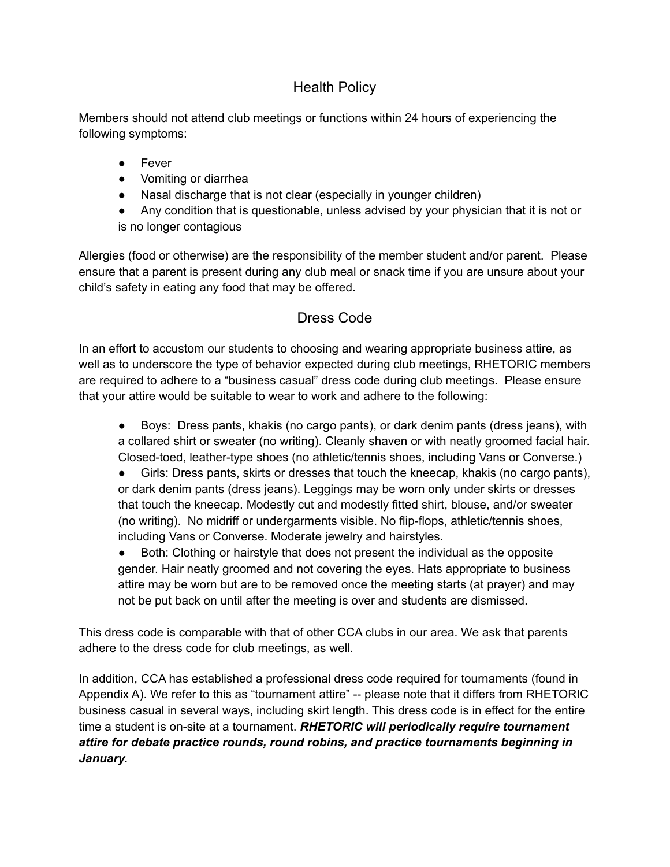### Health Policy

Members should not attend club meetings or functions within 24 hours of experiencing the following symptoms:

- Fever
- Vomiting or diarrhea
- Nasal discharge that is not clear (especially in younger children)
- Any condition that is questionable, unless advised by your physician that it is not or is no longer contagious

Allergies (food or otherwise) are the responsibility of the member student and/or parent. Please ensure that a parent is present during any club meal or snack time if you are unsure about your child's safety in eating any food that may be offered.

# Dress Code

In an effort to accustom our students to choosing and wearing appropriate business attire, as well as to underscore the type of behavior expected during club meetings, RHETORIC members are required to adhere to a "business casual" dress code during club meetings. Please ensure that your attire would be suitable to wear to work and adhere to the following:

- Boys: Dress pants, khakis (no cargo pants), or dark denim pants (dress jeans), with a collared shirt or sweater (no writing). Cleanly shaven or with neatly groomed facial hair. Closed-toed, leather-type shoes (no athletic/tennis shoes, including Vans or Converse.)
- Girls: Dress pants, skirts or dresses that touch the kneecap, khakis (no cargo pants), or dark denim pants (dress jeans). Leggings may be worn only under skirts or dresses that touch the kneecap. Modestly cut and modestly fitted shirt, blouse, and/or sweater (no writing). No midriff or undergarments visible. No flip-flops, athletic/tennis shoes, including Vans or Converse. Moderate jewelry and hairstyles.
- Both: Clothing or hairstyle that does not present the individual as the opposite gender. Hair neatly groomed and not covering the eyes. Hats appropriate to business attire may be worn but are to be removed once the meeting starts (at prayer) and may not be put back on until after the meeting is over and students are dismissed.

This dress code is comparable with that of other CCA clubs in our area. We ask that parents adhere to the dress code for club meetings, as well.

In addition, CCA has established a professional dress code required for tournaments (found in Appendix A). We refer to this as "tournament attire" -- please note that it differs from RHETORIC business casual in several ways, including skirt length. This dress code is in effect for the entire time a student is on-site at a tournament. *RHETORIC will periodically require tournament attire for debate practice rounds, round robins, and practice tournaments beginning in January.*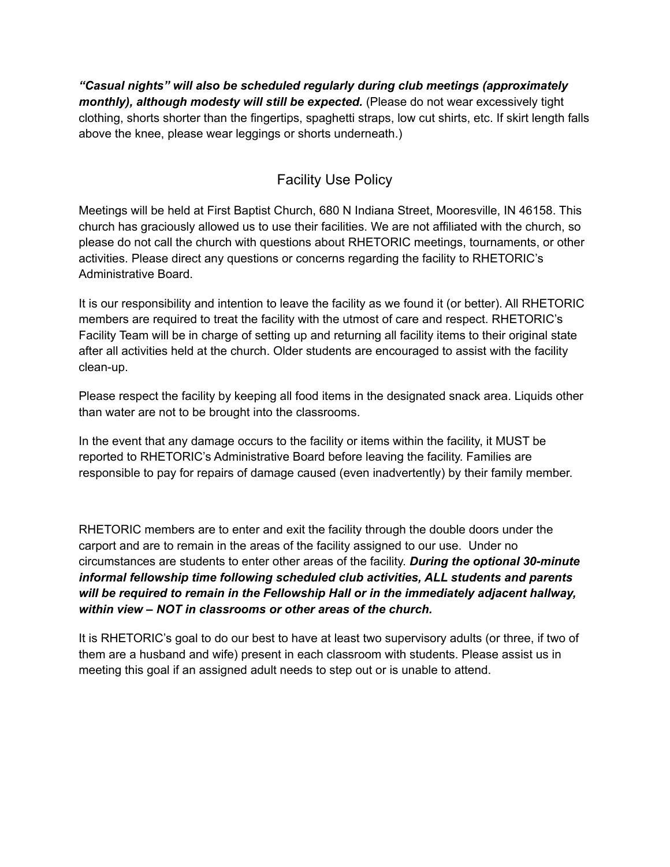*"Casual nights" will also be scheduled regularly during club meetings (approximately monthly), although modesty will still be expected.* (Please do not wear excessively tight clothing, shorts shorter than the fingertips, spaghetti straps, low cut shirts, etc. If skirt length falls above the knee, please wear leggings or shorts underneath.)

# Facility Use Policy

Meetings will be held at First Baptist Church, 680 N Indiana Street, Mooresville, IN 46158. This church has graciously allowed us to use their facilities. We are not affiliated with the church, so please do not call the church with questions about RHETORIC meetings, tournaments, or other activities. Please direct any questions or concerns regarding the facility to RHETORIC's Administrative Board.

It is our responsibility and intention to leave the facility as we found it (or better). All RHETORIC members are required to treat the facility with the utmost of care and respect. RHETORIC's Facility Team will be in charge of setting up and returning all facility items to their original state after all activities held at the church. Older students are encouraged to assist with the facility clean-up.

Please respect the facility by keeping all food items in the designated snack area. Liquids other than water are not to be brought into the classrooms.

In the event that any damage occurs to the facility or items within the facility, it MUST be reported to RHETORIC's Administrative Board before leaving the facility. Families are responsible to pay for repairs of damage caused (even inadvertently) by their family member.

RHETORIC members are to enter and exit the facility through the double doors under the carport and are to remain in the areas of the facility assigned to our use. Under no circumstances are students to enter other areas of the facility. *During the optional 30-minute informal fellowship time following scheduled club activities, ALL students and parents will be required to remain in the Fellowship Hall or in the immediately adjacent hallway, within view – NOT in classrooms or other areas of the church.*

It is RHETORIC's goal to do our best to have at least two supervisory adults (or three, if two of them are a husband and wife) present in each classroom with students. Please assist us in meeting this goal if an assigned adult needs to step out or is unable to attend.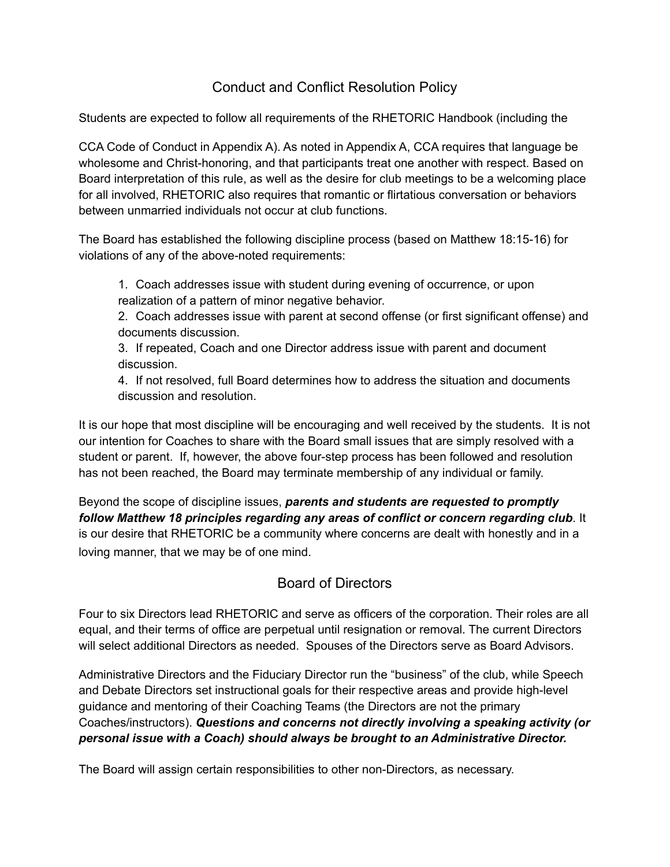### Conduct and Conflict Resolution Policy

Students are expected to follow all requirements of the RHETORIC Handbook (including the

CCA Code of Conduct in Appendix A). As noted in Appendix A, CCA requires that language be wholesome and Christ-honoring, and that participants treat one another with respect. Based on Board interpretation of this rule, as well as the desire for club meetings to be a welcoming place for all involved, RHETORIC also requires that romantic or flirtatious conversation or behaviors between unmarried individuals not occur at club functions.

The Board has established the following discipline process (based on Matthew 18:15-16) for violations of any of the above-noted requirements:

1. Coach addresses issue with student during evening of occurrence, or upon realization of a pattern of minor negative behavior.

2. Coach addresses issue with parent at second offense (or first significant offense) and documents discussion.

3. If repeated, Coach and one Director address issue with parent and document discussion.

4. If not resolved, full Board determines how to address the situation and documents discussion and resolution.

It is our hope that most discipline will be encouraging and well received by the students. It is not our intention for Coaches to share with the Board small issues that are simply resolved with a student or parent. If, however, the above four-step process has been followed and resolution has not been reached, the Board may terminate membership of any individual or family.

Beyond the scope of discipline issues, *parents and students are requested to promptly follow Matthew 18 principles regarding any areas of conflict or concern regarding club*. It is our desire that RHETORIC be a community where concerns are dealt with honestly and in a loving manner, that we may be of one mind.

# Board of Directors

Four to six Directors lead RHETORIC and serve as officers of the corporation. Their roles are all equal, and their terms of office are perpetual until resignation or removal. The current Directors will select additional Directors as needed. Spouses of the Directors serve as Board Advisors.

Administrative Directors and the Fiduciary Director run the "business" of the club, while Speech and Debate Directors set instructional goals for their respective areas and provide high-level guidance and mentoring of their Coaching Teams (the Directors are not the primary Coaches/instructors). *Questions and concerns not directly involving a speaking activity (or personal issue with a Coach) should always be brought to an Administrative Director.*

The Board will assign certain responsibilities to other non-Directors, as necessary.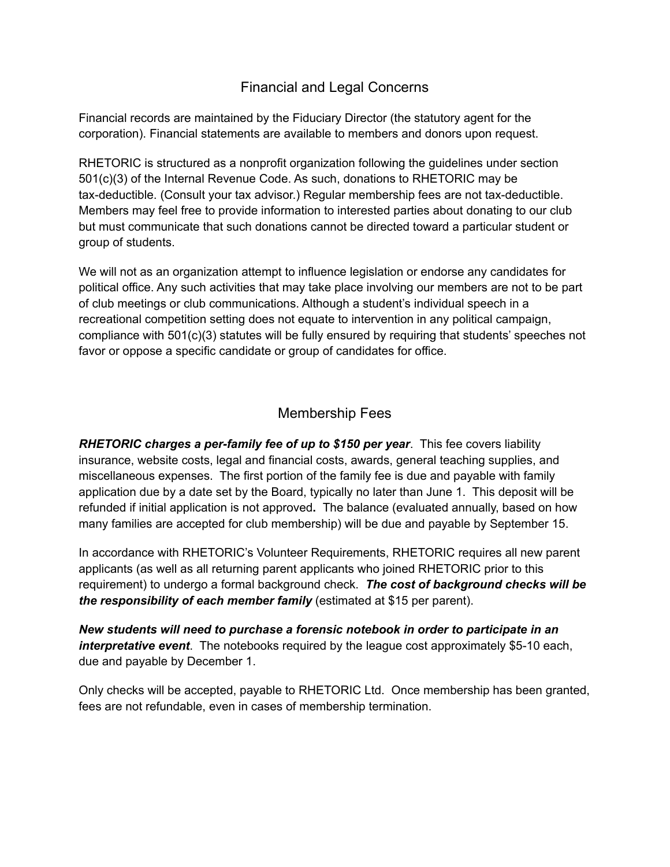#### Financial and Legal Concerns

Financial records are maintained by the Fiduciary Director (the statutory agent for the corporation). Financial statements are available to members and donors upon request.

RHETORIC is structured as a nonprofit organization following the guidelines under section 501(c)(3) of the Internal Revenue Code. As such, donations to RHETORIC may be tax-deductible. (Consult your tax advisor.) Regular membership fees are not tax-deductible. Members may feel free to provide information to interested parties about donating to our club but must communicate that such donations cannot be directed toward a particular student or group of students.

We will not as an organization attempt to influence legislation or endorse any candidates for political office. Any such activities that may take place involving our members are not to be part of club meetings or club communications. Although a student's individual speech in a recreational competition setting does not equate to intervention in any political campaign, compliance with 501(c)(3) statutes will be fully ensured by requiring that students' speeches not favor or oppose a specific candidate or group of candidates for office.

#### Membership Fees

*RHETORIC charges a per-family fee of up to \$150 per year*. This fee covers liability insurance, website costs, legal and financial costs, awards, general teaching supplies, and miscellaneous expenses. The first portion of the family fee is due and payable with family application due by a date set by the Board, typically no later than June 1. This deposit will be refunded if initial application is not approved**.** The balance (evaluated annually, based on how many families are accepted for club membership) will be due and payable by September 15.

In accordance with RHETORIC's Volunteer Requirements, RHETORIC requires all new parent applicants (as well as all returning parent applicants who joined RHETORIC prior to this requirement) to undergo a formal background check. *The cost of background checks will be the responsibility of each member family* (estimated at \$15 per parent).

*New students will need to purchase a forensic notebook in order to participate in an interpretative event*. The notebooks required by the league cost approximately \$5-10 each, due and payable by December 1.

Only checks will be accepted, payable to RHETORIC Ltd. Once membership has been granted, fees are not refundable, even in cases of membership termination.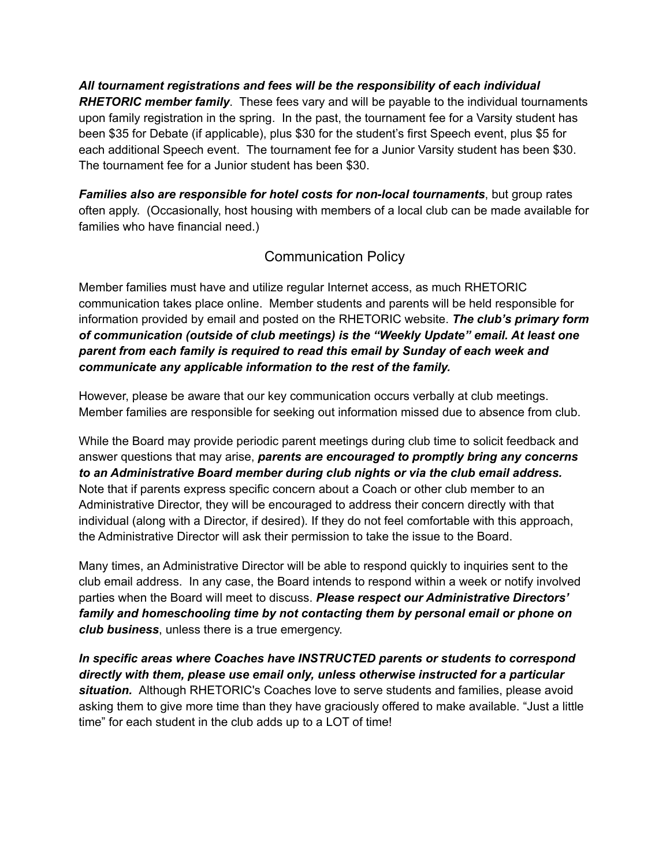*All tournament registrations and fees will be the responsibility of each individual RHETORIC member family*. These fees vary and will be payable to the individual tournaments upon family registration in the spring. In the past, the tournament fee for a Varsity student has been \$35 for Debate (if applicable), plus \$30 for the student's first Speech event, plus \$5 for each additional Speech event. The tournament fee for a Junior Varsity student has been \$30. The tournament fee for a Junior student has been \$30.

*Families also are responsible for hotel costs for non-local tournaments*, but group rates often apply. (Occasionally, host housing with members of a local club can be made available for families who have financial need.)

### Communication Policy

Member families must have and utilize regular Internet access, as much RHETORIC communication takes place online. Member students and parents will be held responsible for information provided by email and posted on the RHETORIC website. *The club's primary form of communication (outside of club meetings) is the "Weekly Update" email. At least one parent from each family is required to read this email by Sunday of each week and communicate any applicable information to the rest of the family.*

However, please be aware that our key communication occurs verbally at club meetings. Member families are responsible for seeking out information missed due to absence from club.

While the Board may provide periodic parent meetings during club time to solicit feedback and answer questions that may arise, *parents are encouraged to promptly bring any concerns to an Administrative Board member during club nights or via the club email address.* Note that if parents express specific concern about a Coach or other club member to an Administrative Director, they will be encouraged to address their concern directly with that individual (along with a Director, if desired). If they do not feel comfortable with this approach, the Administrative Director will ask their permission to take the issue to the Board.

Many times, an Administrative Director will be able to respond quickly to inquiries sent to the club email address. In any case, the Board intends to respond within a week or notify involved parties when the Board will meet to discuss. *Please respect our Administrative Directors' family and homeschooling time by not contacting them by personal email or phone on club business*, unless there is a true emergency.

*In specific areas where Coaches have INSTRUCTED parents or students to correspond directly with them, please use email only, unless otherwise instructed for a particular situation.* Although RHETORIC's Coaches love to serve students and families, please avoid asking them to give more time than they have graciously offered to make available. "Just a little time" for each student in the club adds up to a LOT of time!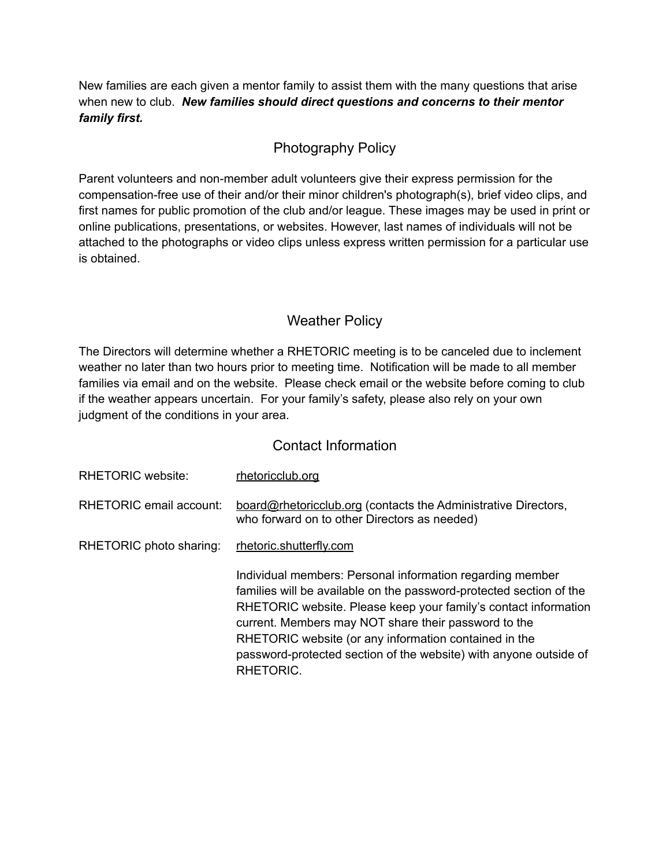New families are each given a mentor family to assist them with the many questions that arise when new to club. *New families should direct questions and concerns to their mentor family first.*

### Photography Policy

Parent volunteers and non-member adult volunteers give their express permission for the compensation-free use of their and/or their minor children's photograph(s), brief video clips, and first names for public promotion of the club and/or league. These images may be used in print or online publications, presentations, or websites. However, last names of individuals will not be attached to the photographs or video clips unless express written permission for a particular use is obtained.

### Weather Policy

The Directors will determine whether a RHETORIC meeting is to be canceled due to inclement weather no later than two hours prior to meeting time. Notification will be made to all member families via email and on the website. Please check email or the website before coming to club if the weather appears uncertain. For your family's safety, please also rely on your own judgment of the conditions in your area.

#### Contact Information

| <b>RHETORIC website:</b> | rhetoricclub.org                                                                                                                                                                                                                                                                                                                                                                                       |
|--------------------------|--------------------------------------------------------------------------------------------------------------------------------------------------------------------------------------------------------------------------------------------------------------------------------------------------------------------------------------------------------------------------------------------------------|
| RHETORIC email account:  | board@rhetoricclub.org (contacts the Administrative Directors,<br>who forward on to other Directors as needed)                                                                                                                                                                                                                                                                                         |
| RHETORIC photo sharing:  | rhetoric.shutterfly.com                                                                                                                                                                                                                                                                                                                                                                                |
|                          | Individual members: Personal information regarding member<br>families will be available on the password-protected section of the<br>RHETORIC website. Please keep your family's contact information<br>current. Members may NOT share their password to the<br>RHETORIC website (or any information contained in the<br>password-protected section of the website) with anyone outside of<br>RHETORIC. |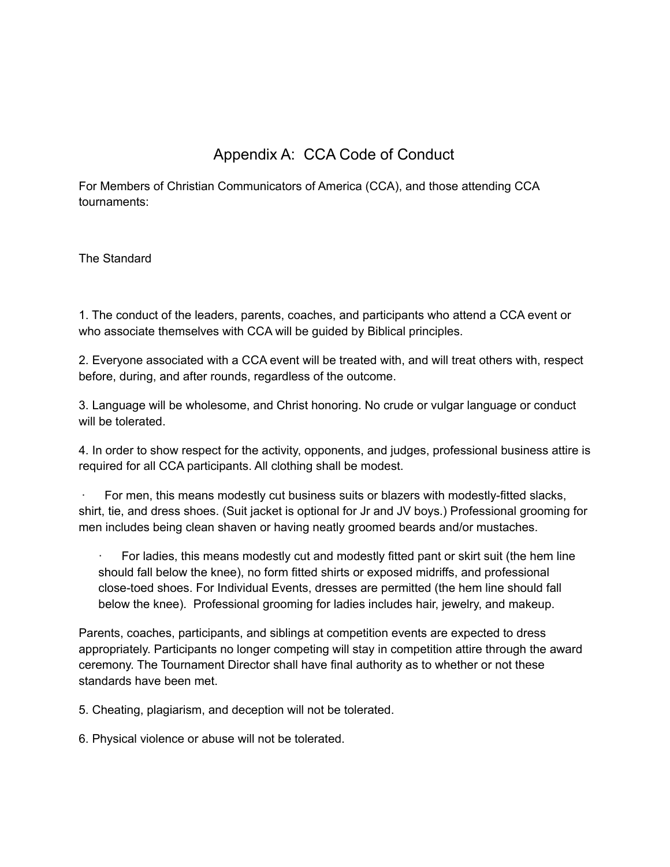# Appendix A: CCA Code of Conduct

For Members of Christian Communicators of America (CCA), and those attending CCA tournaments:

The Standard

1. The conduct of the leaders, parents, coaches, and participants who attend a CCA event or who associate themselves with CCA will be guided by Biblical principles.

2. Everyone associated with a CCA event will be treated with, and will treat others with, respect before, during, and after rounds, regardless of the outcome.

3. Language will be wholesome, and Christ honoring. No crude or vulgar language or conduct will be tolerated.

4. In order to show respect for the activity, opponents, and judges, professional business attire is required for all CCA participants. All clothing shall be modest.

For men, this means modestly cut business suits or blazers with modestly-fitted slacks, shirt, tie, and dress shoes. (Suit jacket is optional for Jr and JV boys.) Professional grooming for men includes being clean shaven or having neatly groomed beards and/or mustaches.

For ladies, this means modestly cut and modestly fitted pant or skirt suit (the hem line should fall below the knee), no form fitted shirts or exposed midriffs, and professional close-toed shoes. For Individual Events, dresses are permitted (the hem line should fall below the knee). Professional grooming for ladies includes hair, jewelry, and makeup.

Parents, coaches, participants, and siblings at competition events are expected to dress appropriately. Participants no longer competing will stay in competition attire through the award ceremony. The Tournament Director shall have final authority as to whether or not these standards have been met.

5. Cheating, plagiarism, and deception will not be tolerated.

6. Physical violence or abuse will not be tolerated.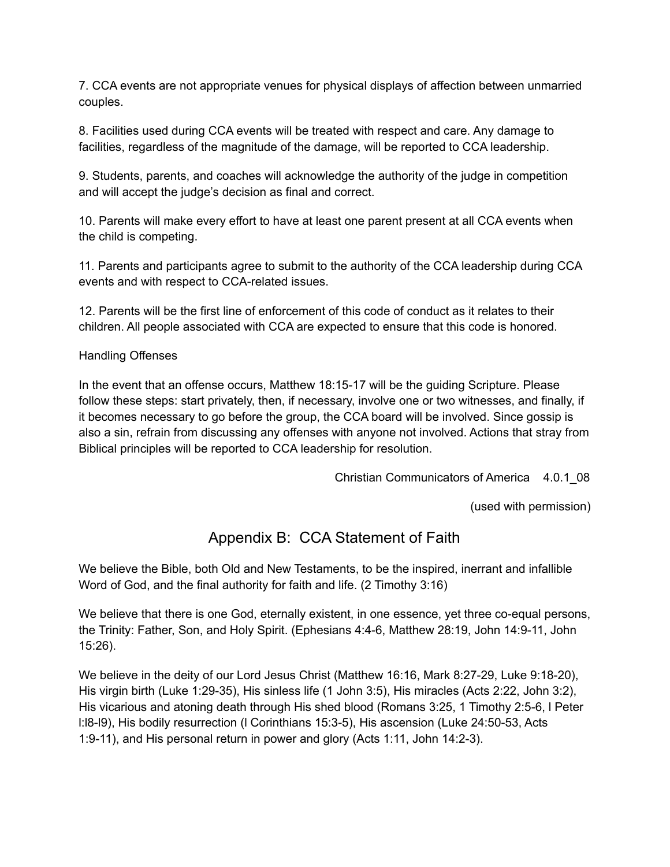7. CCA events are not appropriate venues for physical displays of affection between unmarried couples.

8. Facilities used during CCA events will be treated with respect and care. Any damage to facilities, regardless of the magnitude of the damage, will be reported to CCA leadership.

9. Students, parents, and coaches will acknowledge the authority of the judge in competition and will accept the judge's decision as final and correct.

10. Parents will make every effort to have at least one parent present at all CCA events when the child is competing.

11. Parents and participants agree to submit to the authority of the CCA leadership during CCA events and with respect to CCA-related issues.

12. Parents will be the first line of enforcement of this code of conduct as it relates to their children. All people associated with CCA are expected to ensure that this code is honored.

#### Handling Offenses

In the event that an offense occurs, Matthew 18:15-17 will be the guiding Scripture. Please follow these steps: start privately, then, if necessary, involve one or two witnesses, and finally, if it becomes necessary to go before the group, the CCA board will be involved. Since gossip is also a sin, refrain from discussing any offenses with anyone not involved. Actions that stray from Biblical principles will be reported to CCA leadership for resolution.

Christian Communicators of America 4.0.1\_08

(used with permission)

# Appendix B: CCA Statement of Faith

We believe the Bible, both Old and New Testaments, to be the inspired, inerrant and infallible Word of God, and the final authority for faith and life. (2 Timothy 3:16)

We believe that there is one God, eternally existent, in one essence, yet three co-equal persons, the Trinity: Father, Son, and Holy Spirit. (Ephesians 4:4-6, Matthew 28:19, John 14:9-11, John 15:26).

We believe in the deity of our Lord Jesus Christ (Matthew 16:16, Mark 8:27-29, Luke 9:18-20), His virgin birth (Luke 1:29-35), His sinless life (1 John 3:5), His miracles (Acts 2:22, John 3:2), His vicarious and atoning death through His shed blood (Romans 3:25, 1 Timothy 2:5-6, l Peter l:l8-l9), His bodily resurrection (l Corinthians 15:3-5), His ascension (Luke 24:50-53, Acts 1:9-11), and His personal return in power and glory (Acts 1:11, John 14:2-3).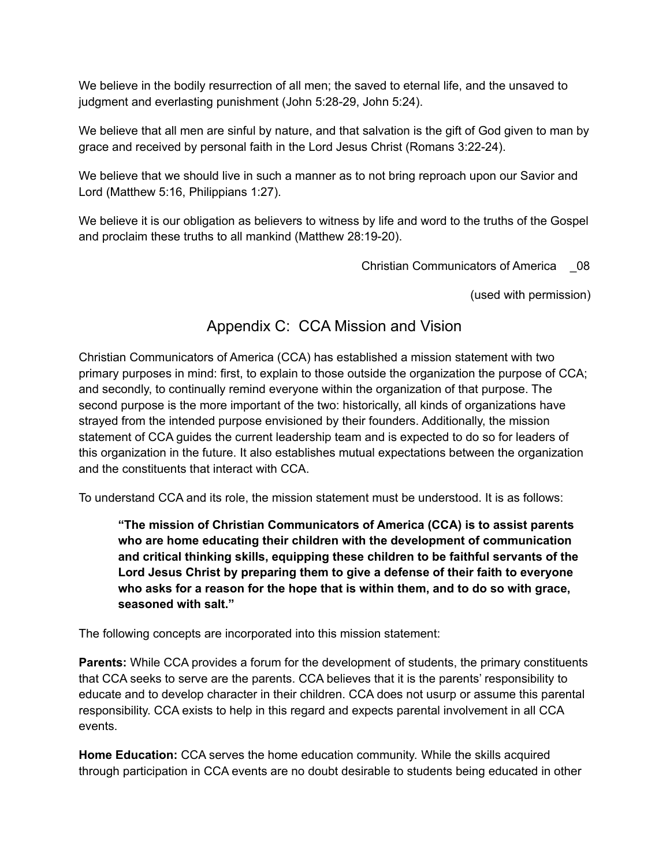We believe in the bodily resurrection of all men; the saved to eternal life, and the unsaved to judgment and everlasting punishment (John 5:28-29, John 5:24).

We believe that all men are sinful by nature, and that salvation is the gift of God given to man by grace and received by personal faith in the Lord Jesus Christ (Romans 3:22-24).

We believe that we should live in such a manner as to not bring reproach upon our Savior and Lord (Matthew 5:16, Philippians 1:27).

We believe it is our obligation as believers to witness by life and word to the truths of the Gospel and proclaim these truths to all mankind (Matthew 28:19-20).

Christian Communicators of America \_08

(used with permission)

# Appendix C: CCA Mission and Vision

Christian Communicators of America (CCA) has established a mission statement with two primary purposes in mind: first, to explain to those outside the organization the purpose of CCA; and secondly, to continually remind everyone within the organization of that purpose. The second purpose is the more important of the two: historically, all kinds of organizations have strayed from the intended purpose envisioned by their founders. Additionally, the mission statement of CCA guides the current leadership team and is expected to do so for leaders of this organization in the future. It also establishes mutual expectations between the organization and the constituents that interact with CCA.

To understand CCA and its role, the mission statement must be understood. It is as follows:

**"The mission of Christian Communicators of America (CCA) is to assist parents who are home educating their children with the development of communication and critical thinking skills, equipping these children to be faithful servants of the Lord Jesus Christ by preparing them to give a defense of their faith to everyone who asks for a reason for the hope that is within them, and to do so with grace, seasoned with salt."**

The following concepts are incorporated into this mission statement:

**Parents:** While CCA provides a forum for the development of students, the primary constituents that CCA seeks to serve are the parents. CCA believes that it is the parents' responsibility to educate and to develop character in their children. CCA does not usurp or assume this parental responsibility. CCA exists to help in this regard and expects parental involvement in all CCA events.

**Home Education:** CCA serves the home education community. While the skills acquired through participation in CCA events are no doubt desirable to students being educated in other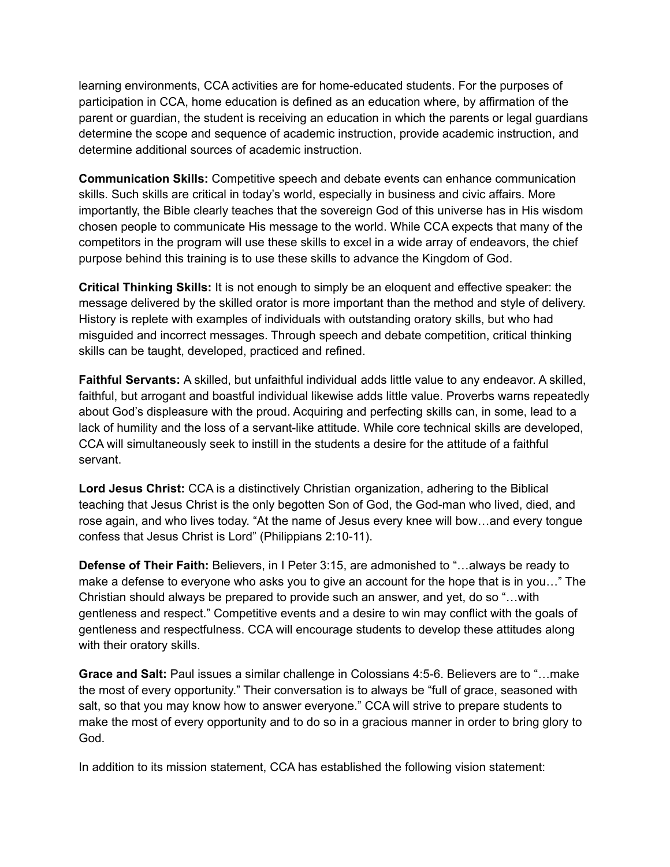learning environments, CCA activities are for home-educated students. For the purposes of participation in CCA, home education is defined as an education where, by affirmation of the parent or guardian, the student is receiving an education in which the parents or legal guardians determine the scope and sequence of academic instruction, provide academic instruction, and determine additional sources of academic instruction.

**Communication Skills:** Competitive speech and debate events can enhance communication skills. Such skills are critical in today's world, especially in business and civic affairs. More importantly, the Bible clearly teaches that the sovereign God of this universe has in His wisdom chosen people to communicate His message to the world. While CCA expects that many of the competitors in the program will use these skills to excel in a wide array of endeavors, the chief purpose behind this training is to use these skills to advance the Kingdom of God.

**Critical Thinking Skills:** It is not enough to simply be an eloquent and effective speaker: the message delivered by the skilled orator is more important than the method and style of delivery. History is replete with examples of individuals with outstanding oratory skills, but who had misguided and incorrect messages. Through speech and debate competition, critical thinking skills can be taught, developed, practiced and refined.

**Faithful Servants:** A skilled, but unfaithful individual adds little value to any endeavor. A skilled, faithful, but arrogant and boastful individual likewise adds little value. Proverbs warns repeatedly about God's displeasure with the proud. Acquiring and perfecting skills can, in some, lead to a lack of humility and the loss of a servant-like attitude. While core technical skills are developed, CCA will simultaneously seek to instill in the students a desire for the attitude of a faithful servant.

**Lord Jesus Christ:** CCA is a distinctively Christian organization, adhering to the Biblical teaching that Jesus Christ is the only begotten Son of God, the God-man who lived, died, and rose again, and who lives today. "At the name of Jesus every knee will bow…and every tongue confess that Jesus Christ is Lord" (Philippians 2:10-11).

**Defense of Their Faith:** Believers, in I Peter 3:15, are admonished to "…always be ready to make a defense to everyone who asks you to give an account for the hope that is in you…" The Christian should always be prepared to provide such an answer, and yet, do so "…with gentleness and respect." Competitive events and a desire to win may conflict with the goals of gentleness and respectfulness. CCA will encourage students to develop these attitudes along with their oratory skills.

**Grace and Salt:** Paul issues a similar challenge in Colossians 4:5-6. Believers are to "…make the most of every opportunity." Their conversation is to always be "full of grace, seasoned with salt, so that you may know how to answer everyone." CCA will strive to prepare students to make the most of every opportunity and to do so in a gracious manner in order to bring glory to God.

In addition to its mission statement, CCA has established the following vision statement: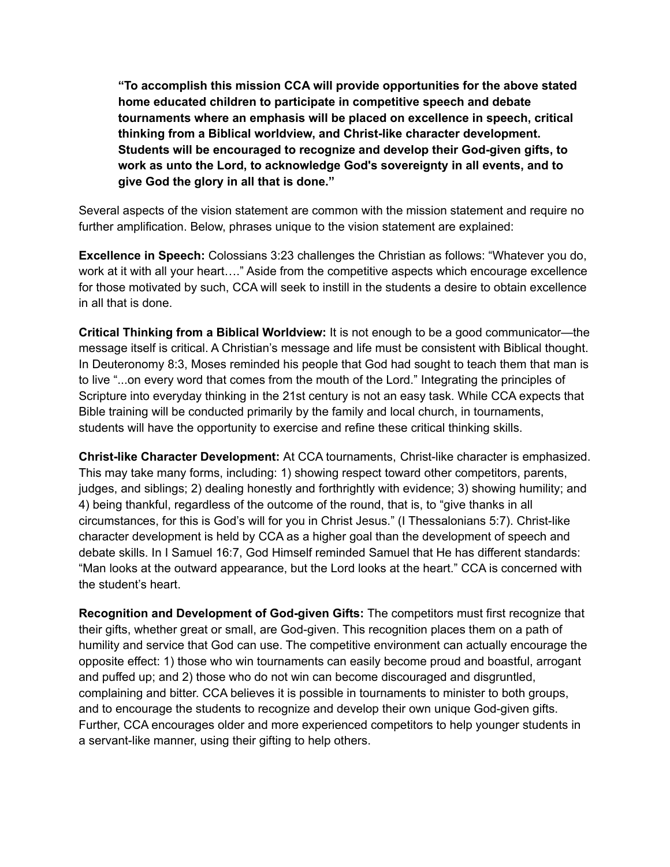**"To accomplish this mission CCA will provide opportunities for the above stated home educated children to participate in competitive speech and debate tournaments where an emphasis will be placed on excellence in speech, critical thinking from a Biblical worldview, and Christ-like character development. Students will be encouraged to recognize and develop their God-given gifts, to work as unto the Lord, to acknowledge God's sovereignty in all events, and to give God the glory in all that is done."**

Several aspects of the vision statement are common with the mission statement and require no further amplification. Below, phrases unique to the vision statement are explained:

**Excellence in Speech:** Colossians 3:23 challenges the Christian as follows: "Whatever you do, work at it with all your heart…." Aside from the competitive aspects which encourage excellence for those motivated by such, CCA will seek to instill in the students a desire to obtain excellence in all that is done.

**Critical Thinking from a Biblical Worldview:** It is not enough to be a good communicator—the message itself is critical. A Christian's message and life must be consistent with Biblical thought. In Deuteronomy 8:3, Moses reminded his people that God had sought to teach them that man is to live "...on every word that comes from the mouth of the Lord." Integrating the principles of Scripture into everyday thinking in the 21st century is not an easy task. While CCA expects that Bible training will be conducted primarily by the family and local church, in tournaments, students will have the opportunity to exercise and refine these critical thinking skills.

**Christ-like Character Development:** At CCA tournaments, Christ-like character is emphasized. This may take many forms, including: 1) showing respect toward other competitors, parents, judges, and siblings; 2) dealing honestly and forthrightly with evidence; 3) showing humility; and 4) being thankful, regardless of the outcome of the round, that is, to "give thanks in all circumstances, for this is God's will for you in Christ Jesus." (I Thessalonians 5:7). Christ-like character development is held by CCA as a higher goal than the development of speech and debate skills. In I Samuel 16:7, God Himself reminded Samuel that He has different standards: "Man looks at the outward appearance, but the Lord looks at the heart." CCA is concerned with the student's heart.

**Recognition and Development of God-given Gifts:** The competitors must first recognize that their gifts, whether great or small, are God-given. This recognition places them on a path of humility and service that God can use. The competitive environment can actually encourage the opposite effect: 1) those who win tournaments can easily become proud and boastful, arrogant and puffed up; and 2) those who do not win can become discouraged and disgruntled, complaining and bitter. CCA believes it is possible in tournaments to minister to both groups, and to encourage the students to recognize and develop their own unique God-given gifts. Further, CCA encourages older and more experienced competitors to help younger students in a servant-like manner, using their gifting to help others.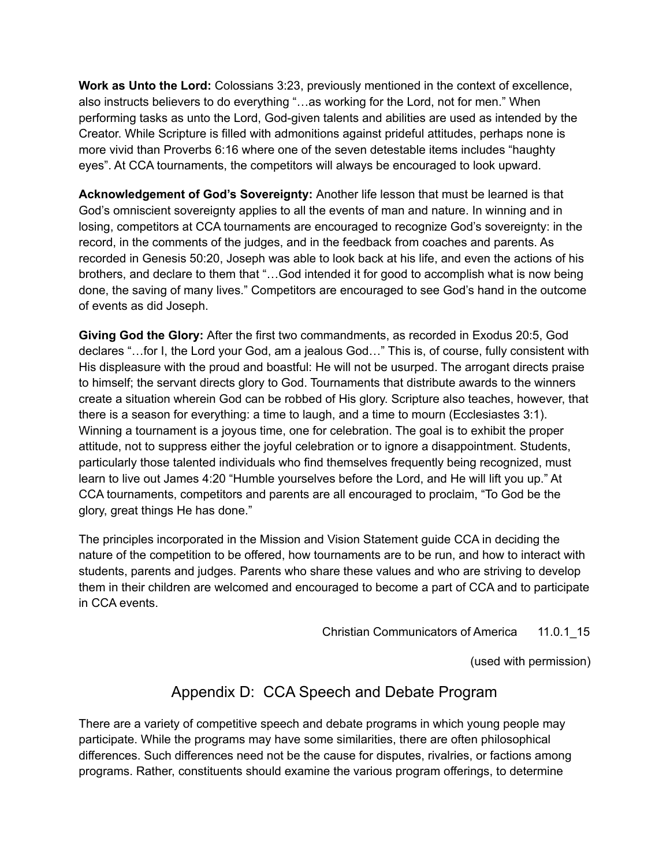**Work as Unto the Lord:** Colossians 3:23, previously mentioned in the context of excellence, also instructs believers to do everything "…as working for the Lord, not for men." When performing tasks as unto the Lord, God-given talents and abilities are used as intended by the Creator. While Scripture is filled with admonitions against prideful attitudes, perhaps none is more vivid than Proverbs 6:16 where one of the seven detestable items includes "haughty eyes". At CCA tournaments, the competitors will always be encouraged to look upward.

**Acknowledgement of God's Sovereignty:** Another life lesson that must be learned is that God's omniscient sovereignty applies to all the events of man and nature. In winning and in losing, competitors at CCA tournaments are encouraged to recognize God's sovereignty: in the record, in the comments of the judges, and in the feedback from coaches and parents. As recorded in Genesis 50:20, Joseph was able to look back at his life, and even the actions of his brothers, and declare to them that "…God intended it for good to accomplish what is now being done, the saving of many lives." Competitors are encouraged to see God's hand in the outcome of events as did Joseph.

**Giving God the Glory:** After the first two commandments, as recorded in Exodus 20:5, God declares "…for I, the Lord your God, am a jealous God…" This is, of course, fully consistent with His displeasure with the proud and boastful: He will not be usurped. The arrogant directs praise to himself; the servant directs glory to God. Tournaments that distribute awards to the winners create a situation wherein God can be robbed of His glory. Scripture also teaches, however, that there is a season for everything: a time to laugh, and a time to mourn (Ecclesiastes 3:1). Winning a tournament is a joyous time, one for celebration. The goal is to exhibit the proper attitude, not to suppress either the joyful celebration or to ignore a disappointment. Students, particularly those talented individuals who find themselves frequently being recognized, must learn to live out James 4:20 "Humble yourselves before the Lord, and He will lift you up." At CCA tournaments, competitors and parents are all encouraged to proclaim, "To God be the glory, great things He has done."

The principles incorporated in the Mission and Vision Statement guide CCA in deciding the nature of the competition to be offered, how tournaments are to be run, and how to interact with students, parents and judges. Parents who share these values and who are striving to develop them in their children are welcomed and encouraged to become a part of CCA and to participate in CCA events.

Christian Communicators of America 11.0.1 15

(used with permission)

### Appendix D: CCA Speech and Debate Program

There are a variety of competitive speech and debate programs in which young people may participate. While the programs may have some similarities, there are often philosophical differences. Such differences need not be the cause for disputes, rivalries, or factions among programs. Rather, constituents should examine the various program offerings, to determine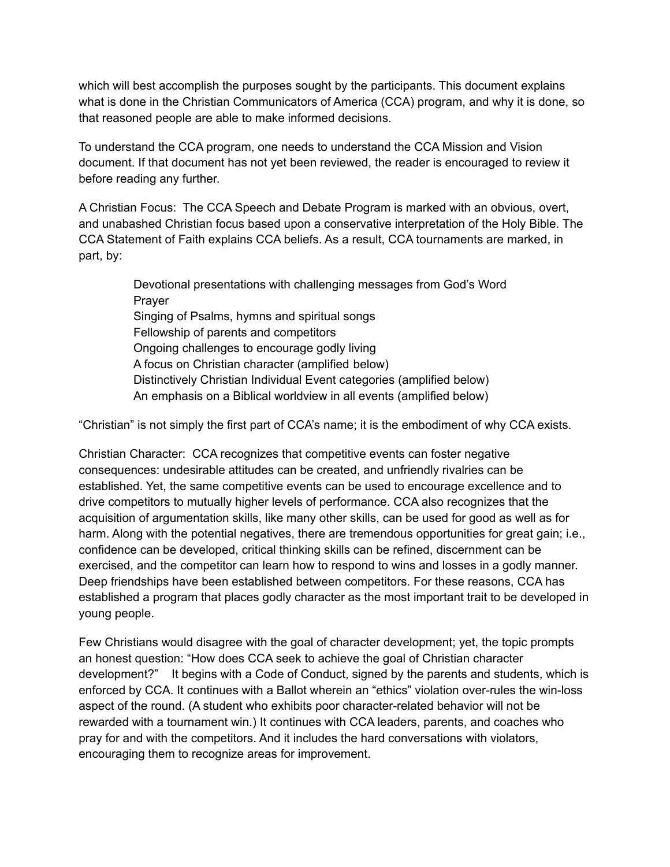which will best accomplish the purposes sought by the participants. This document explains what is done in the Christian Communicators of America (CCA) program, and why it is done, so that reasoned people are able to make informed decisions.

To understand the CCA program, one needs to understand the CCA Mission and Vision document. If that document has not yet been reviewed, the reader is encouraged to review it before reading any further.

A Christian Focus: The CCA Speech and Debate Program is marked with an obvious, overt, and unabashed Christian focus based upon a conservative interpretation of the Holy Bible. The CCA Statement of Faith explains CCA beliefs. As a result, CCA tournaments are marked, in part, by:

> Devotional presentations with challenging messages from God's Word Prayer Singing of Psalms, hymns and spiritual songs Fellowship of parents and competitors Ongoing challenges to encourage godly living A focus on Christian character (amplified below) Distinctively Christian Individual Event categories (amplified below) An emphasis on a Biblical worldview in all events (amplified below)

"Christian" is not simply the first part of CCA's name; it is the embodiment of why CCA exists.

Christian Character: CCA recognizes that competitive events can foster negative consequences: undesirable attitudes can be created, and unfriendly rivalries can be established. Yet, the same competitive events can be used to encourage excellence and to drive competitors to mutually higher levels of performance. CCA also recognizes that the acquisition of argumentation skills, like many other skills, can be used for good as well as for harm. Along with the potential negatives, there are tremendous opportunities for great gain; i.e., confidence can be developed, critical thinking skills can be refined, discernment can be exercised, and the competitor can learn how to respond to wins and losses in a godly manner. Deep friendships have been established between competitors. For these reasons, CCA has established a program that places godly character as the most important trait to be developed in young people.

Few Christians would disagree with the goal of character development; yet, the topic prompts an honest question: "How does CCA seek to achieve the goal of Christian character development?" It begins with a Code of Conduct, signed by the parents and students, which is enforced by CCA. It continues with a Ballot wherein an "ethics" violation over-rules the win-loss aspect of the round. (A student who exhibits poor character-related behavior will not be rewarded with a tournament win.) It continues with CCA leaders, parents, and coaches who pray for and with the competitors. And it includes the hard conversations with violators, encouraging them to recognize areas for improvement.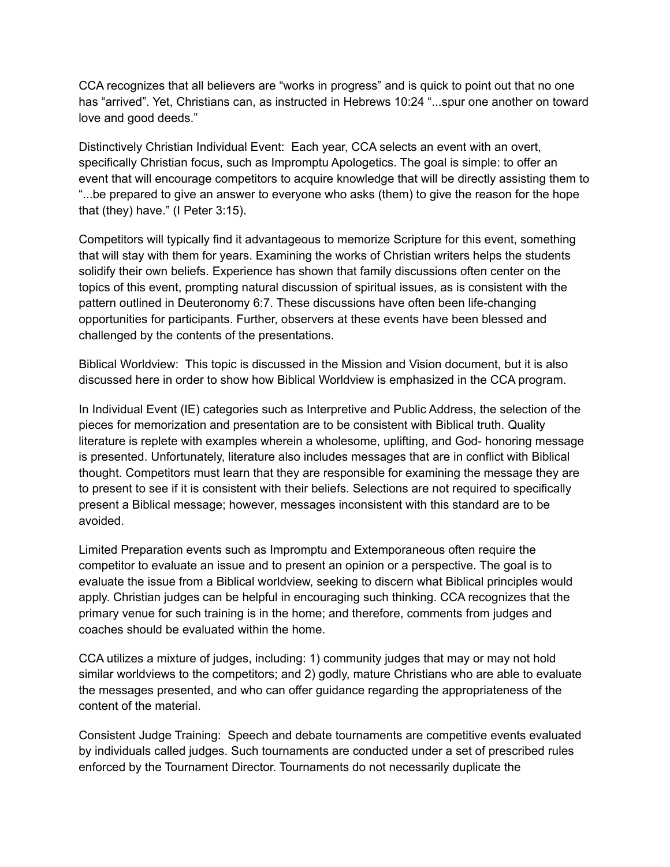CCA recognizes that all believers are "works in progress" and is quick to point out that no one has "arrived". Yet, Christians can, as instructed in Hebrews 10:24 "...spur one another on toward love and good deeds."

Distinctively Christian Individual Event: Each year, CCA selects an event with an overt, specifically Christian focus, such as Impromptu Apologetics. The goal is simple: to offer an event that will encourage competitors to acquire knowledge that will be directly assisting them to "...be prepared to give an answer to everyone who asks (them) to give the reason for the hope that (they) have." (I Peter 3:15).

Competitors will typically find it advantageous to memorize Scripture for this event, something that will stay with them for years. Examining the works of Christian writers helps the students solidify their own beliefs. Experience has shown that family discussions often center on the topics of this event, prompting natural discussion of spiritual issues, as is consistent with the pattern outlined in Deuteronomy 6:7. These discussions have often been life-changing opportunities for participants. Further, observers at these events have been blessed and challenged by the contents of the presentations.

Biblical Worldview: This topic is discussed in the Mission and Vision document, but it is also discussed here in order to show how Biblical Worldview is emphasized in the CCA program.

In Individual Event (IE) categories such as Interpretive and Public Address, the selection of the pieces for memorization and presentation are to be consistent with Biblical truth. Quality literature is replete with examples wherein a wholesome, uplifting, and God- honoring message is presented. Unfortunately, literature also includes messages that are in conflict with Biblical thought. Competitors must learn that they are responsible for examining the message they are to present to see if it is consistent with their beliefs. Selections are not required to specifically present a Biblical message; however, messages inconsistent with this standard are to be avoided.

Limited Preparation events such as Impromptu and Extemporaneous often require the competitor to evaluate an issue and to present an opinion or a perspective. The goal is to evaluate the issue from a Biblical worldview, seeking to discern what Biblical principles would apply. Christian judges can be helpful in encouraging such thinking. CCA recognizes that the primary venue for such training is in the home; and therefore, comments from judges and coaches should be evaluated within the home.

CCA utilizes a mixture of judges, including: 1) community judges that may or may not hold similar worldviews to the competitors; and 2) godly, mature Christians who are able to evaluate the messages presented, and who can offer guidance regarding the appropriateness of the content of the material.

Consistent Judge Training: Speech and debate tournaments are competitive events evaluated by individuals called judges. Such tournaments are conducted under a set of prescribed rules enforced by the Tournament Director. Tournaments do not necessarily duplicate the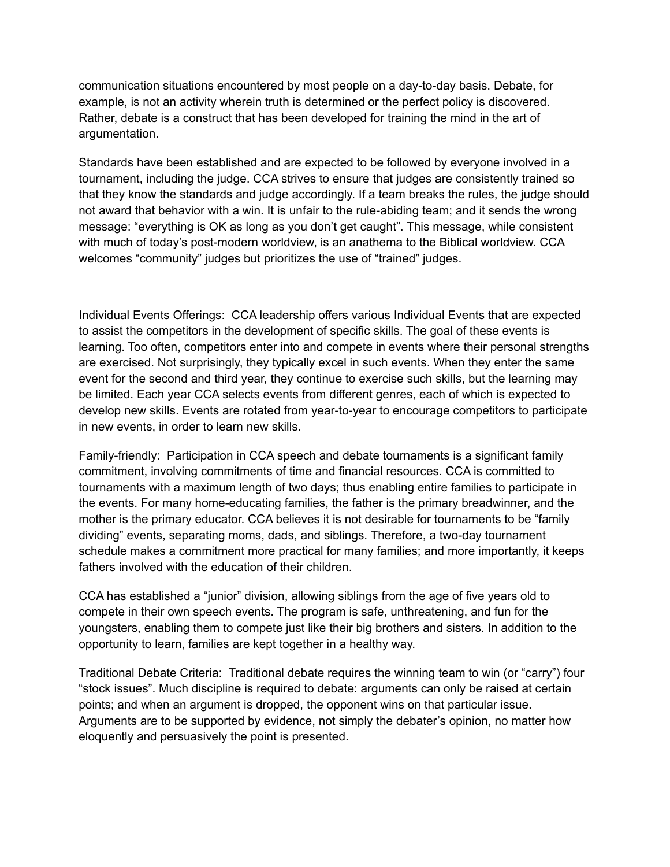communication situations encountered by most people on a day-to-day basis. Debate, for example, is not an activity wherein truth is determined or the perfect policy is discovered. Rather, debate is a construct that has been developed for training the mind in the art of argumentation.

Standards have been established and are expected to be followed by everyone involved in a tournament, including the judge. CCA strives to ensure that judges are consistently trained so that they know the standards and judge accordingly. If a team breaks the rules, the judge should not award that behavior with a win. It is unfair to the rule-abiding team; and it sends the wrong message: "everything is OK as long as you don't get caught". This message, while consistent with much of today's post-modern worldview, is an anathema to the Biblical worldview. CCA welcomes "community" judges but prioritizes the use of "trained" judges.

Individual Events Offerings: CCA leadership offers various Individual Events that are expected to assist the competitors in the development of specific skills. The goal of these events is learning. Too often, competitors enter into and compete in events where their personal strengths are exercised. Not surprisingly, they typically excel in such events. When they enter the same event for the second and third year, they continue to exercise such skills, but the learning may be limited. Each year CCA selects events from different genres, each of which is expected to develop new skills. Events are rotated from year-to-year to encourage competitors to participate in new events, in order to learn new skills.

Family-friendly: Participation in CCA speech and debate tournaments is a significant family commitment, involving commitments of time and financial resources. CCA is committed to tournaments with a maximum length of two days; thus enabling entire families to participate in the events. For many home-educating families, the father is the primary breadwinner, and the mother is the primary educator. CCA believes it is not desirable for tournaments to be "family dividing" events, separating moms, dads, and siblings. Therefore, a two-day tournament schedule makes a commitment more practical for many families; and more importantly, it keeps fathers involved with the education of their children.

CCA has established a "junior" division, allowing siblings from the age of five years old to compete in their own speech events. The program is safe, unthreatening, and fun for the youngsters, enabling them to compete just like their big brothers and sisters. In addition to the opportunity to learn, families are kept together in a healthy way.

Traditional Debate Criteria: Traditional debate requires the winning team to win (or "carry") four "stock issues". Much discipline is required to debate: arguments can only be raised at certain points; and when an argument is dropped, the opponent wins on that particular issue. Arguments are to be supported by evidence, not simply the debater's opinion, no matter how eloquently and persuasively the point is presented.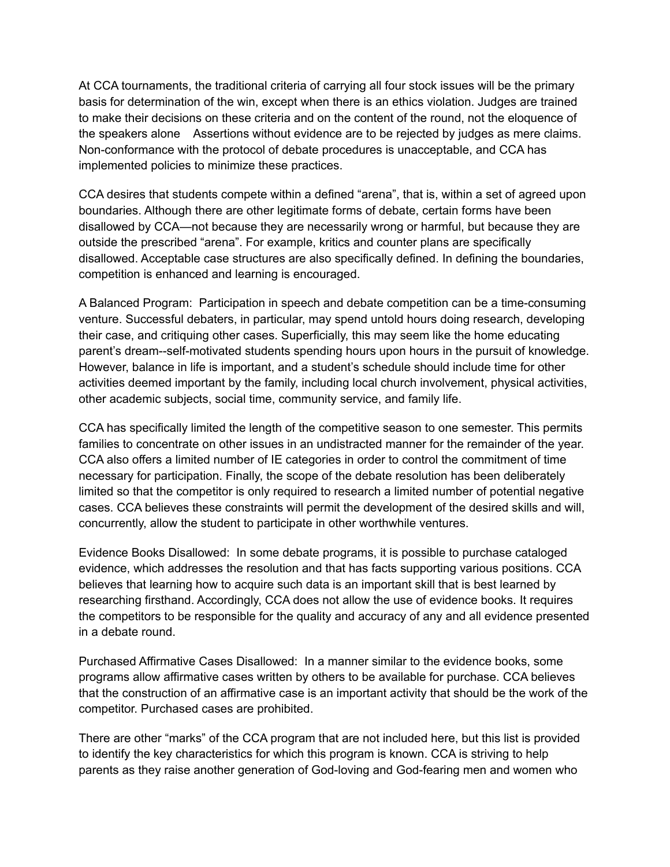At CCA tournaments, the traditional criteria of carrying all four stock issues will be the primary basis for determination of the win, except when there is an ethics violation. Judges are trained to make their decisions on these criteria and on the content of the round, not the eloquence of the speakers alone Assertions without evidence are to be rejected by judges as mere claims. Non-conformance with the protocol of debate procedures is unacceptable, and CCA has implemented policies to minimize these practices.

CCA desires that students compete within a defined "arena", that is, within a set of agreed upon boundaries. Although there are other legitimate forms of debate, certain forms have been disallowed by CCA—not because they are necessarily wrong or harmful, but because they are outside the prescribed "arena". For example, kritics and counter plans are specifically disallowed. Acceptable case structures are also specifically defined. In defining the boundaries, competition is enhanced and learning is encouraged.

A Balanced Program: Participation in speech and debate competition can be a time-consuming venture. Successful debaters, in particular, may spend untold hours doing research, developing their case, and critiquing other cases. Superficially, this may seem like the home educating parent's dream--self-motivated students spending hours upon hours in the pursuit of knowledge. However, balance in life is important, and a student's schedule should include time for other activities deemed important by the family, including local church involvement, physical activities, other academic subjects, social time, community service, and family life.

CCA has specifically limited the length of the competitive season to one semester. This permits families to concentrate on other issues in an undistracted manner for the remainder of the year. CCA also offers a limited number of IE categories in order to control the commitment of time necessary for participation. Finally, the scope of the debate resolution has been deliberately limited so that the competitor is only required to research a limited number of potential negative cases. CCA believes these constraints will permit the development of the desired skills and will, concurrently, allow the student to participate in other worthwhile ventures.

Evidence Books Disallowed: In some debate programs, it is possible to purchase cataloged evidence, which addresses the resolution and that has facts supporting various positions. CCA believes that learning how to acquire such data is an important skill that is best learned by researching firsthand. Accordingly, CCA does not allow the use of evidence books. It requires the competitors to be responsible for the quality and accuracy of any and all evidence presented in a debate round.

Purchased Affirmative Cases Disallowed: In a manner similar to the evidence books, some programs allow affirmative cases written by others to be available for purchase. CCA believes that the construction of an affirmative case is an important activity that should be the work of the competitor. Purchased cases are prohibited.

There are other "marks" of the CCA program that are not included here, but this list is provided to identify the key characteristics for which this program is known. CCA is striving to help parents as they raise another generation of God-loving and God-fearing men and women who